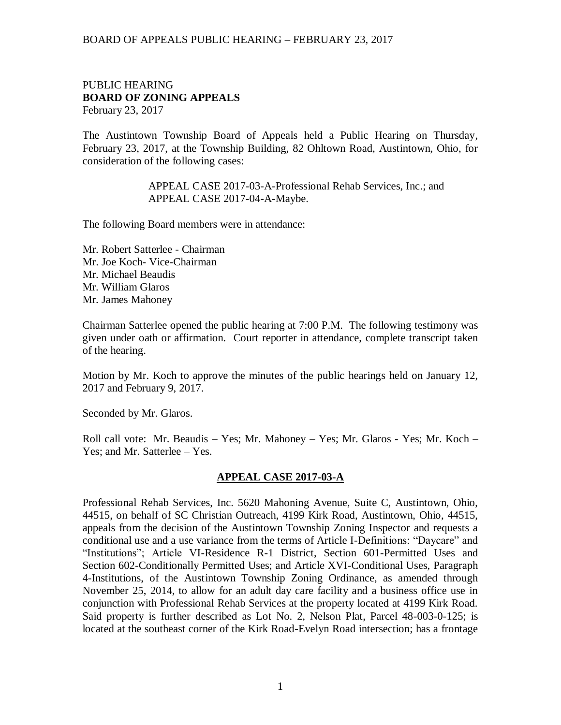### PUBLIC HEARING **BOARD OF ZONING APPEALS**  February 23, 2017

The Austintown Township Board of Appeals held a Public Hearing on Thursday, February 23, 2017, at the Township Building, 82 Ohltown Road, Austintown, Ohio, for consideration of the following cases:

> APPEAL CASE 2017-03-A-Professional Rehab Services, Inc.; and APPEAL CASE 2017-04-A-Maybe.

The following Board members were in attendance:

Mr. Robert Satterlee - Chairman Mr. Joe Koch- Vice-Chairman Mr. Michael Beaudis Mr. William Glaros Mr. James Mahoney

Chairman Satterlee opened the public hearing at 7:00 P.M. The following testimony was given under oath or affirmation. Court reporter in attendance, complete transcript taken of the hearing.

Motion by Mr. Koch to approve the minutes of the public hearings held on January 12, 2017 and February 9, 2017.

Seconded by Mr. Glaros.

Roll call vote: Mr. Beaudis – Yes; Mr. Mahoney – Yes; Mr. Glaros - Yes; Mr. Koch – Yes; and Mr. Satterlee – Yes.

#### **APPEAL CASE 2017-03-A**

Professional Rehab Services, Inc. 5620 Mahoning Avenue, Suite C, Austintown, Ohio, 44515, on behalf of SC Christian Outreach, 4199 Kirk Road, Austintown, Ohio, 44515, appeals from the decision of the Austintown Township Zoning Inspector and requests a conditional use and a use variance from the terms of Article I-Definitions: "Daycare" and "Institutions"; Article VI-Residence R-1 District, Section 601-Permitted Uses and Section 602-Conditionally Permitted Uses; and Article XVI-Conditional Uses, Paragraph 4-Institutions, of the Austintown Township Zoning Ordinance, as amended through November 25, 2014, to allow for an adult day care facility and a business office use in conjunction with Professional Rehab Services at the property located at 4199 Kirk Road. Said property is further described as Lot No. 2, Nelson Plat, Parcel 48-003-0-125; is located at the southeast corner of the Kirk Road-Evelyn Road intersection; has a frontage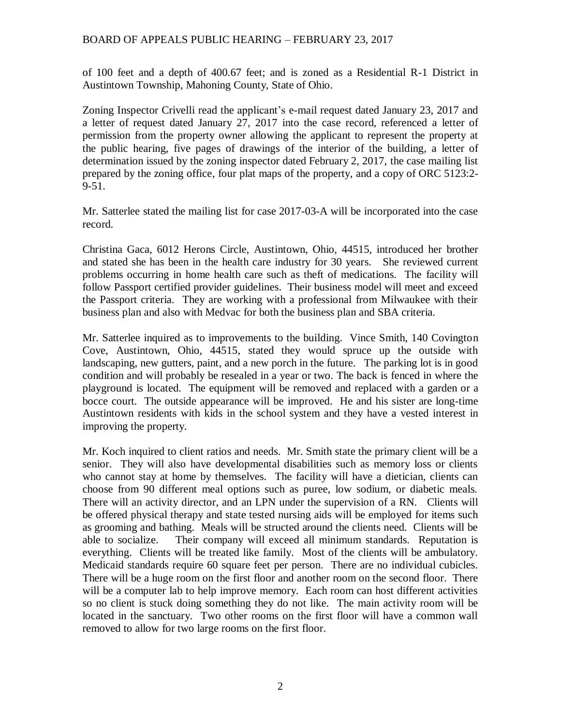of 100 feet and a depth of 400.67 feet; and is zoned as a Residential R-1 District in Austintown Township, Mahoning County, State of Ohio.

Zoning Inspector Crivelli read the applicant's e-mail request dated January 23, 2017 and a letter of request dated January 27, 2017 into the case record, referenced a letter of permission from the property owner allowing the applicant to represent the property at the public hearing, five pages of drawings of the interior of the building, a letter of determination issued by the zoning inspector dated February 2, 2017, the case mailing list prepared by the zoning office, four plat maps of the property, and a copy of ORC 5123:2- 9-51.

Mr. Satterlee stated the mailing list for case 2017-03-A will be incorporated into the case record.

Christina Gaca, 6012 Herons Circle, Austintown, Ohio, 44515, introduced her brother and stated she has been in the health care industry for 30 years. She reviewed current problems occurring in home health care such as theft of medications. The facility will follow Passport certified provider guidelines. Their business model will meet and exceed the Passport criteria. They are working with a professional from Milwaukee with their business plan and also with Medvac for both the business plan and SBA criteria.

Mr. Satterlee inquired as to improvements to the building. Vince Smith, 140 Covington Cove, Austintown, Ohio, 44515, stated they would spruce up the outside with landscaping, new gutters, paint, and a new porch in the future. The parking lot is in good condition and will probably be resealed in a year or two. The back is fenced in where the playground is located. The equipment will be removed and replaced with a garden or a bocce court. The outside appearance will be improved. He and his sister are long-time Austintown residents with kids in the school system and they have a vested interest in improving the property.

Mr. Koch inquired to client ratios and needs. Mr. Smith state the primary client will be a senior. They will also have developmental disabilities such as memory loss or clients who cannot stay at home by themselves. The facility will have a dietician, clients can choose from 90 different meal options such as puree, low sodium, or diabetic meals. There will an activity director, and an LPN under the supervision of a RN. Clients will be offered physical therapy and state tested nursing aids will be employed for items such as grooming and bathing. Meals will be structed around the clients need. Clients will be able to socialize. Their company will exceed all minimum standards. Reputation is everything. Clients will be treated like family. Most of the clients will be ambulatory. Medicaid standards require 60 square feet per person. There are no individual cubicles. There will be a huge room on the first floor and another room on the second floor. There will be a computer lab to help improve memory. Each room can host different activities so no client is stuck doing something they do not like. The main activity room will be located in the sanctuary. Two other rooms on the first floor will have a common wall removed to allow for two large rooms on the first floor.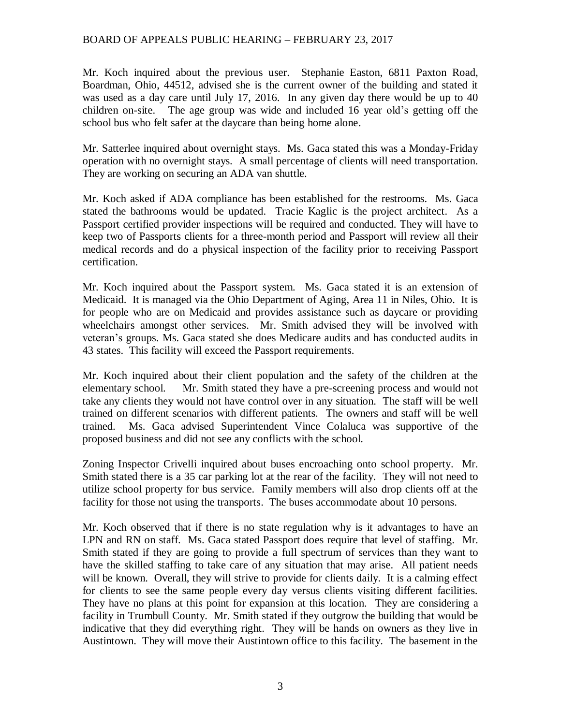Mr. Koch inquired about the previous user. Stephanie Easton, 6811 Paxton Road, Boardman, Ohio, 44512, advised she is the current owner of the building and stated it was used as a day care until July 17, 2016. In any given day there would be up to 40 children on-site. The age group was wide and included 16 year old's getting off the school bus who felt safer at the daycare than being home alone.

Mr. Satterlee inquired about overnight stays. Ms. Gaca stated this was a Monday-Friday operation with no overnight stays. A small percentage of clients will need transportation. They are working on securing an ADA van shuttle.

Mr. Koch asked if ADA compliance has been established for the restrooms. Ms. Gaca stated the bathrooms would be updated. Tracie Kaglic is the project architect. As a Passport certified provider inspections will be required and conducted. They will have to keep two of Passports clients for a three-month period and Passport will review all their medical records and do a physical inspection of the facility prior to receiving Passport certification.

Mr. Koch inquired about the Passport system. Ms. Gaca stated it is an extension of Medicaid. It is managed via the Ohio Department of Aging, Area 11 in Niles, Ohio. It is for people who are on Medicaid and provides assistance such as daycare or providing wheelchairs amongst other services. Mr. Smith advised they will be involved with veteran's groups. Ms. Gaca stated she does Medicare audits and has conducted audits in 43 states. This facility will exceed the Passport requirements.

Mr. Koch inquired about their client population and the safety of the children at the elementary school. Mr. Smith stated they have a pre-screening process and would not take any clients they would not have control over in any situation. The staff will be well trained on different scenarios with different patients. The owners and staff will be well trained. Ms. Gaca advised Superintendent Vince Colaluca was supportive of the proposed business and did not see any conflicts with the school.

Zoning Inspector Crivelli inquired about buses encroaching onto school property. Mr. Smith stated there is a 35 car parking lot at the rear of the facility. They will not need to utilize school property for bus service. Family members will also drop clients off at the facility for those not using the transports. The buses accommodate about 10 persons.

Mr. Koch observed that if there is no state regulation why is it advantages to have an LPN and RN on staff. Ms. Gaca stated Passport does require that level of staffing. Mr. Smith stated if they are going to provide a full spectrum of services than they want to have the skilled staffing to take care of any situation that may arise. All patient needs will be known. Overall, they will strive to provide for clients daily. It is a calming effect for clients to see the same people every day versus clients visiting different facilities. They have no plans at this point for expansion at this location. They are considering a facility in Trumbull County. Mr. Smith stated if they outgrow the building that would be indicative that they did everything right. They will be hands on owners as they live in Austintown. They will move their Austintown office to this facility. The basement in the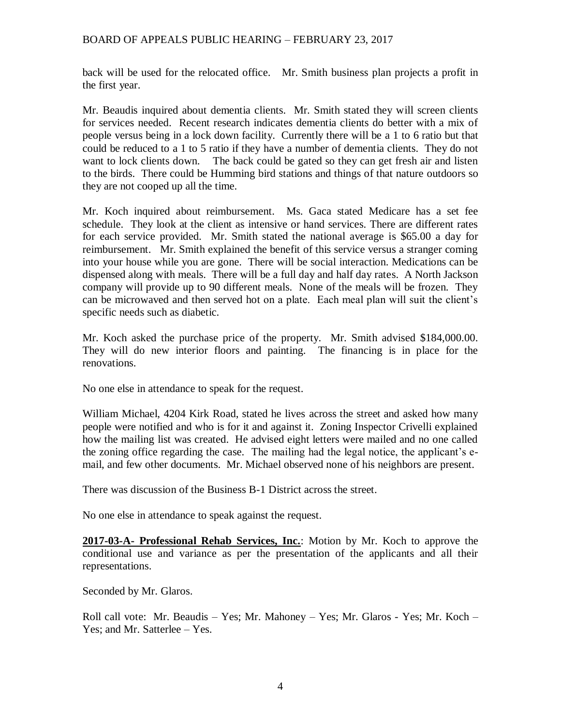back will be used for the relocated office. Mr. Smith business plan projects a profit in the first year.

Mr. Beaudis inquired about dementia clients. Mr. Smith stated they will screen clients for services needed. Recent research indicates dementia clients do better with a mix of people versus being in a lock down facility. Currently there will be a 1 to 6 ratio but that could be reduced to a 1 to 5 ratio if they have a number of dementia clients. They do not want to lock clients down. The back could be gated so they can get fresh air and listen to the birds. There could be Humming bird stations and things of that nature outdoors so they are not cooped up all the time.

Mr. Koch inquired about reimbursement. Ms. Gaca stated Medicare has a set fee schedule. They look at the client as intensive or hand services. There are different rates for each service provided. Mr. Smith stated the national average is \$65.00 a day for reimbursement. Mr. Smith explained the benefit of this service versus a stranger coming into your house while you are gone. There will be social interaction. Medications can be dispensed along with meals. There will be a full day and half day rates. A North Jackson company will provide up to 90 different meals. None of the meals will be frozen. They can be microwaved and then served hot on a plate. Each meal plan will suit the client's specific needs such as diabetic.

Mr. Koch asked the purchase price of the property. Mr. Smith advised \$184,000.00. They will do new interior floors and painting. The financing is in place for the renovations.

No one else in attendance to speak for the request.

William Michael, 4204 Kirk Road, stated he lives across the street and asked how many people were notified and who is for it and against it. Zoning Inspector Crivelli explained how the mailing list was created. He advised eight letters were mailed and no one called the zoning office regarding the case. The mailing had the legal notice, the applicant's email, and few other documents. Mr. Michael observed none of his neighbors are present.

There was discussion of the Business B-1 District across the street.

No one else in attendance to speak against the request.

**2017-03-A- Professional Rehab Services, Inc.**: Motion by Mr. Koch to approve the conditional use and variance as per the presentation of the applicants and all their representations.

Seconded by Mr. Glaros.

Roll call vote: Mr. Beaudis – Yes; Mr. Mahoney – Yes; Mr. Glaros - Yes; Mr. Koch – Yes; and Mr. Satterlee – Yes.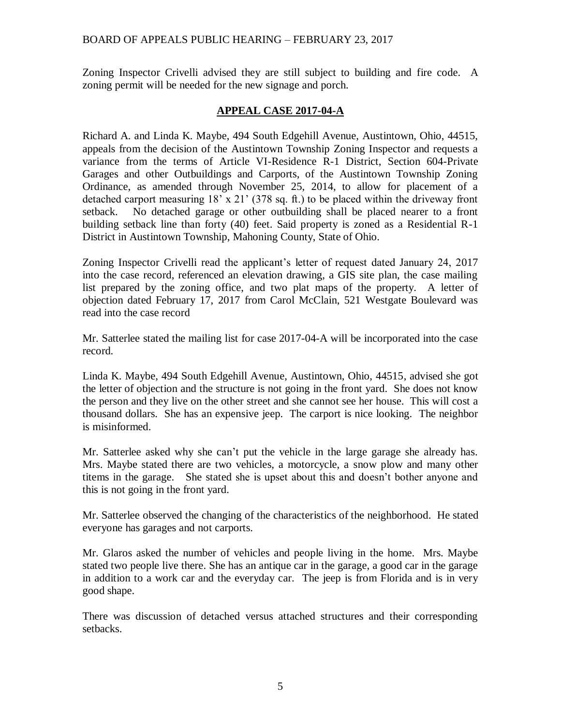Zoning Inspector Crivelli advised they are still subject to building and fire code. A zoning permit will be needed for the new signage and porch.

### **APPEAL CASE 2017-04-A**

Richard A. and Linda K. Maybe, 494 South Edgehill Avenue, Austintown, Ohio, 44515, appeals from the decision of the Austintown Township Zoning Inspector and requests a variance from the terms of Article VI-Residence R-1 District, Section 604-Private Garages and other Outbuildings and Carports, of the Austintown Township Zoning Ordinance, as amended through November 25, 2014, to allow for placement of a detached carport measuring 18' x 21' (378 sq. ft.) to be placed within the driveway front setback. No detached garage or other outbuilding shall be placed nearer to a front building setback line than forty (40) feet. Said property is zoned as a Residential R-1 District in Austintown Township, Mahoning County, State of Ohio.

Zoning Inspector Crivelli read the applicant's letter of request dated January 24, 2017 into the case record, referenced an elevation drawing, a GIS site plan, the case mailing list prepared by the zoning office, and two plat maps of the property. A letter of objection dated February 17, 2017 from Carol McClain, 521 Westgate Boulevard was read into the case record

Mr. Satterlee stated the mailing list for case 2017-04-A will be incorporated into the case record.

Linda K. Maybe, 494 South Edgehill Avenue, Austintown, Ohio, 44515, advised she got the letter of objection and the structure is not going in the front yard. She does not know the person and they live on the other street and she cannot see her house. This will cost a thousand dollars. She has an expensive jeep. The carport is nice looking. The neighbor is misinformed.

Mr. Satterlee asked why she can't put the vehicle in the large garage she already has. Mrs. Maybe stated there are two vehicles, a motorcycle, a snow plow and many other titems in the garage. She stated she is upset about this and doesn't bother anyone and this is not going in the front yard.

Mr. Satterlee observed the changing of the characteristics of the neighborhood. He stated everyone has garages and not carports.

Mr. Glaros asked the number of vehicles and people living in the home. Mrs. Maybe stated two people live there. She has an antique car in the garage, a good car in the garage in addition to a work car and the everyday car. The jeep is from Florida and is in very good shape.

There was discussion of detached versus attached structures and their corresponding setbacks.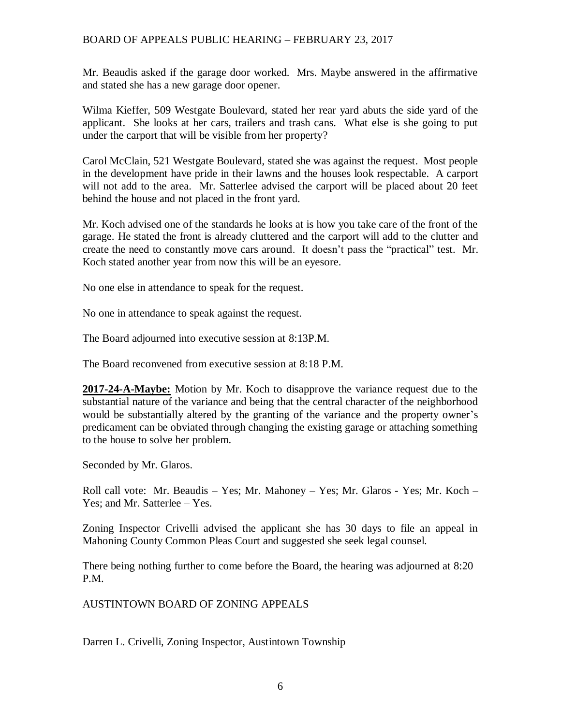Mr. Beaudis asked if the garage door worked. Mrs. Maybe answered in the affirmative and stated she has a new garage door opener.

Wilma Kieffer, 509 Westgate Boulevard, stated her rear yard abuts the side yard of the applicant. She looks at her cars, trailers and trash cans. What else is she going to put under the carport that will be visible from her property?

Carol McClain, 521 Westgate Boulevard, stated she was against the request. Most people in the development have pride in their lawns and the houses look respectable. A carport will not add to the area. Mr. Satterlee advised the carport will be placed about 20 feet behind the house and not placed in the front yard.

Mr. Koch advised one of the standards he looks at is how you take care of the front of the garage. He stated the front is already cluttered and the carport will add to the clutter and create the need to constantly move cars around. It doesn't pass the "practical" test. Mr. Koch stated another year from now this will be an eyesore.

No one else in attendance to speak for the request.

No one in attendance to speak against the request.

The Board adjourned into executive session at 8:13P.M.

The Board reconvened from executive session at 8:18 P.M.

**2017-24-A-Maybe:** Motion by Mr. Koch to disapprove the variance request due to the substantial nature of the variance and being that the central character of the neighborhood would be substantially altered by the granting of the variance and the property owner's predicament can be obviated through changing the existing garage or attaching something to the house to solve her problem.

Seconded by Mr. Glaros.

Roll call vote: Mr. Beaudis – Yes; Mr. Mahoney – Yes; Mr. Glaros - Yes; Mr. Koch – Yes; and Mr. Satterlee – Yes.

Zoning Inspector Crivelli advised the applicant she has 30 days to file an appeal in Mahoning County Common Pleas Court and suggested she seek legal counsel.

There being nothing further to come before the Board, the hearing was adjourned at 8:20 P.M.

AUSTINTOWN BOARD OF ZONING APPEALS

Darren L. Crivelli, Zoning Inspector, Austintown Township